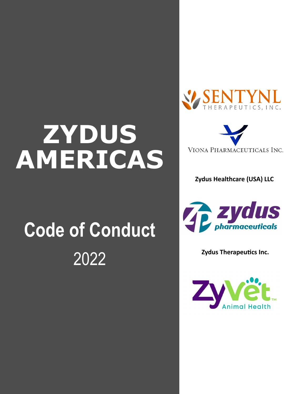# **ZYDUS AMERICAS**

# **Code of Conduct** 2022





**Zydus Healthcare (USA) LLC**



**Zydus Therapeutics Inc.** 

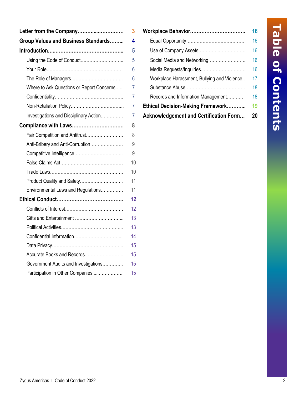| Letter from the Company                    | 3  |
|--------------------------------------------|----|
| <b>Group Values and Business Standards</b> | 4  |
|                                            | 5  |
| Using the Code of Conduct                  | 5  |
|                                            | 6  |
|                                            | 6  |
| Where to Ask Questions or Report Concerns  | 7  |
|                                            | 7  |
|                                            | 7  |
| Investigations and Disciplinary Action     | 7  |
| Compliance with Laws                       | 8  |
| Fair Competition and Antitrust             | 8  |
| Anti-Bribery and Anti-Corruption           | 9  |
|                                            | 9  |
|                                            | 10 |
|                                            | 10 |
| Product Quality and Safety                 | 11 |
| Environmental Laws and Regulations         | 11 |
|                                            | 12 |
|                                            | 12 |
|                                            | 13 |
|                                            | 13 |
|                                            | 14 |
|                                            | 15 |
| Accurate Books and Records                 | 15 |
| Government Audits and Investigations       | 15 |
| Participation in Other Companies           | 15 |

| $\mathbf{3}$    |                                               |    |
|-----------------|-----------------------------------------------|----|
| 4               |                                               | 16 |
| 5               |                                               | 16 |
| 5               |                                               | 16 |
| 6               |                                               |    |
| $6\phantom{1}6$ | Workplace Harassment, Bullying and Violence   | 17 |
|                 |                                               | 18 |
| $\overline{7}$  | Records and Information Management            | 18 |
|                 | <b>Ethical Decision-Making Framework</b>      | 19 |
| $\overline{7}$  | <b>Acknowledgement and Certification Form</b> | 20 |
|                 |                                               |    |

# Table of Contents **Table of Contents**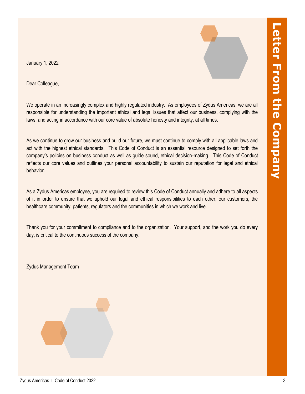January 1, 2022

Dear Colleague,

We operate in an increasingly complex and highly regulated industry. As employees of Zydus Americas, we are all responsible for understanding the important ethical and legal issues that affect our business, complying with the laws, and acting in accordance with our core value of absolute honesty and integrity, at all times.

As we continue to grow our business and build our future, we must continue to comply with all applicable laws and act with the highest ethical standards. This Code of Conduct is an essential resource designed to set forth the company's policies on business conduct as well as guide sound, ethical decision-making. This Code of Conduct reflects our core values and outlines your personal accountability to sustain our reputation for legal and ethical behavior.

As a Zydus Americas employee, you are required to review this Code of Conduct annually and adhere to all aspects of it in order to ensure that we uphold our legal and ethical responsibilities to each other, our customers, the healthcare community, patients, regulators and the communities in which we work and live.

Thank you for your commitment to compliance and to the organization. Your support, and the work you do every day, is critical to the continuous success of the company.

Zydus Management Team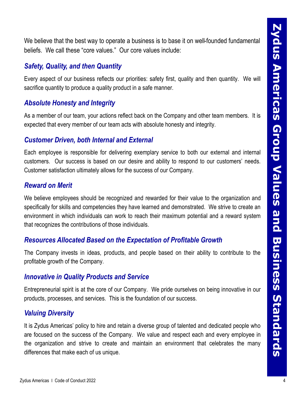We believe that the best way to operate a business is to base it on well-founded fundamental beliefs. We call these "core values." Our core values include:

# *Safety, Quality, and then Quantity*

Every aspect of our business reflects our priorities: safety first, quality and then quantity. We will sacrifice quantity to produce a quality product in a safe manner.

# *Absolute Honesty and Integrity*

As a member of our team, your actions reflect back on the Company and other team members. It is expected that every member of our team acts with absolute honesty and integrity.

# *Customer Driven, both Internal and External*

Each employee is responsible for delivering exemplary service to both our external and internal customers. Our success is based on our desire and ability to respond to our customers' needs. Customer satisfaction ultimately allows for the success of our Company.

# *Reward on Merit*

We believe that the bast way to operate a business is to base it on well-founded fundamental<br>beliefs. We call free core values. Our core values include:<br>Safety, Quality, and then Quantity<br>Every sepect of our business refle We believe employees should be recognized and rewarded for their value to the organization and specifically for skills and competencies they have learned and demonstrated. We strive to create an environment in which individuals can work to reach their maximum potential and a reward system that recognizes the contributions of those individuals.

# *Resources Allocated Based on the Expectation of Profitable Growth*

The Company invests in ideas, products, and people based on their ability to contribute to the profitable growth of the Company.

# *Innovative in Quality Products and Service*

Entrepreneurial spirit is at the core of our Company. We pride ourselves on being innovative in our products, processes, and services. This is the foundation of our success.

# *Valuing Diversity*

It is Zydus Americas' policy to hire and retain a diverse group of talented and dedicated people who are focused on the success of the Company. We value and respect each and every employee in the organization and strive to create and maintain an environment that celebrates the many differences that make each of us unique.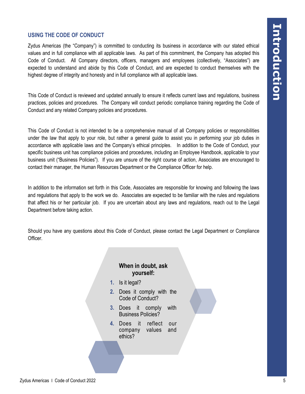## **USING THE CODE OF CONDUCT**

Zydus Americas (the "Company") is committed to conducting its business in accordance with our stated ethical values and in full compliance with all applicable laws. As part of this commitment, the Company has adopted this Code of Conduct. All Company directors, officers, managers and employees (collectively, "Associates") are expected to understand and abide by this Code of Conduct, and are expected to conduct themselves with the highest degree of integrity and honesty and in full compliance with all applicable laws.

This Code of Conduct is reviewed and updated annually to ensure it reflects current laws and regulations, business practices, policies and procedures. The Company will conduct periodic compliance training regarding the Code of Conduct and any related Company policies and procedures.

USING THE CODE OF CONDUCT<br>
Zydis Americas Pro "Control of Society" is control of the basiness in accordance with our elaborations<br>
conserved in this company was accorded the conserved in a spherical tensor, As and other co This Code of Conduct is not intended to be a comprehensive manual of all Company policies or responsibilities under the law that apply to your role, but rather a general guide to assist you in performing your job duties in accordance with applicable laws and the Company's ethical principles. In addition to the Code of Conduct, your specific business unit has compliance policies and procedures, including an Employee Handbook, applicable to your business unit ("Business Policies"). If you are unsure of the right course of action, Associates are encouraged to contact their manager, the Human Resources Department or the Compliance Officer for help.

In addition to the information set forth in this Code, Associates are responsible for knowing and following the laws and regulations that apply to the work we do. Associates are expected to be familiar with the rules and regulations that affect his or her particular job. If you are uncertain about any laws and regulations, reach out to the Legal Department before taking action.

Should you have any questions about this Code of Conduct, please contact the Legal Department or Compliance Officer.

## **When in doubt, ask yourself:**

- **1.** Is it legal?
- **2.** Does it comply with the Code of Conduct?
- **3.** Does it comply with Business Policies?
- **4.** Does it reflect our company values and ethics?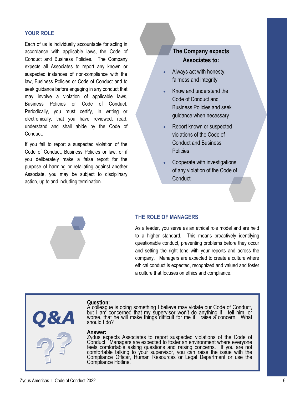#### **YOUR ROLE**

Each of us is individually accountable for acting in accordance with applicable laws, the Code of Conduct and Business Policies. The Company expects all Associates to report any known or suspected instances of non-compliance with the law, Business Policies or Code of Conduct and to seek guidance before engaging in any conduct that may involve a violation of applicable laws, Business Policies or Code of Conduct. Periodically, you must certify, in writing or electronically, that you have reviewed, read, understand and shall abide by the Code of Conduct.

If you fail to report a suspected violation of the Code of Conduct, Business Policies or law, or if you deliberately make a false report for the purpose of harming or retaliating against another Associate, you may be subject to disciplinary action, up to and including termination.

# **The Company expects Associates to:**

- Always act with honesty, fairness and integrity
- Know and understand the Code of Conduct and Business Policies and seek guidance when necessary
- Report known or suspected violations of the Code of Conduct and Business Policies
- Cooperate with investigations of any violation of the Code of **Conduct**

# **THE ROLE OF MANAGERS**

As a leader, you serve as an ethical role model and are held to a higher standard. This means proactively identifying questionable conduct, preventing problems before they occur and setting the right tone with your reports and across the company. Managers are expected to create a culture where ethical conduct is expected, recognized and valued and foster a culture that focuses on ethics and compliance.

# **Question:**

A colleague is doing something I believe may violate our Code of Conduct, but I am concerned that my supervisor won't do anything if I tell him, or worse, that he will make things difficult for me if I raise a concern. What should I do?

#### **Answer:**

Zydus expects Associates to report suspected violations of the Code of Conduct. Managers are expected to foster an environment where everyone feels comfortable asking questions and raising concerns. If you are not comfortable talking to your supervisor, you can raise the issue with the Compliance Officer, Human Resources or Legal Department or use the Compliance Hotline.

*Q&A*

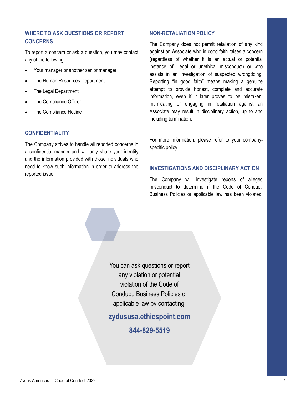## **WHERE TO ASK QUESTIONS OR REPORT CONCERNS**

To report a concern or ask a question, you may contact any of the following:

- Your manager or another senior manager
- The Human Resources Department
- **The Legal Department**
- The Compliance Officer
- The Compliance Hotline

#### **CONFIDENTIALITY**

The Company strives to handle all reported concerns in a confidential manner and will only share your identity and the information provided with those individuals who need to know such information in order to address the reported issue.

#### **NON-RETALIATION POLICY**

The Company does not permit retaliation of any kind against an Associate who in good faith raises a concern (regardless of whether it is an actual or potential instance of illegal or unethical misconduct) or who assists in an investigation of suspected wrongdoing. Reporting "in good faith" means making a genuine attempt to provide honest, complete and accurate information, even if it later proves to be mistaken. Intimidating or engaging in retaliation against an Associate may result in disciplinary action, up to and including termination.

For more information, please refer to your companyspecific policy.

#### **INVESTIGATIONS AND DISCIPLINARY ACTION**

The Company will investigate reports of alleged misconduct to determine if the Code of Conduct, Business Policies or applicable law has been violated.

You can ask questions or report any violation or potential violation of the Code of Conduct, Business Policies or applicable law by contacting:

**zydususa.ethicspoint.com**

**844-829-5519**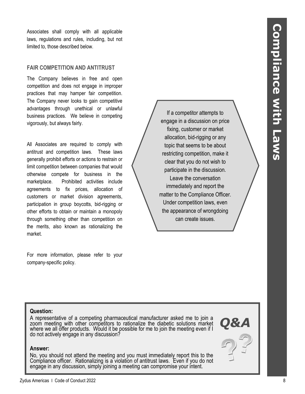Associates shall comply with all applicable laws, regulations and rules, including, but not limited to, those described below.

#### **FAIR COMPETITION AND ANTITRUST**

The Company believes in free and open competition and does not engage in improper practices that may hamper fair competition. The Company never looks to gain competitive advantages through unethical or unlawful business practices. We believe in competing vigorously, but always fairly.

Associates wall conduct 2022 8 **Conductive Conductive Conductive Conductive Conductive Conductive Conductive Complete Conductive Conductive Conductive Conductive Conductive Conductive Conductive Conductive Conductive Comp** All Associates are required to comply with antitrust and competition laws. These laws generally prohibit efforts or actions to restrain or limit competition between companies that would otherwise compete for business in the marketplace. Prohibited activities include agreements to fix prices, allocation of customers or market division agreements, participation in group boycotts, bid-rigging or other efforts to obtain or maintain a monopoly through something other than competition on the merits, also known as rationalizing the market.

For more information, please refer to your company-specific policy.

If a competitor attempts to engage in a discussion on price fixing, customer or market allocation, bid-rigging or any topic that seems to be about restricting competition, make it clear that you do not wish to participate in the discussion. Leave the conversation immediately and report the matter to the Compliance Officer. Under competition laws, even the appearance of wrongdoing can create issues.

#### **Question:**

A representative of a competing pharmaceutical manufacturer asked me to join a zoom meeting with other competitors to rationalize the diabetic solutions market where we all offer products. Would it be possible for me to join the meeting even if I do not actively engage in any discussion?

#### **Answer:**

No, you should not attend the meeting and you must immediately report this to the Compliance officer. Rationalizing is a violation of antitrust laws. Even if you do not engage in any discussion, simply joining a meeting can compromise your intent.

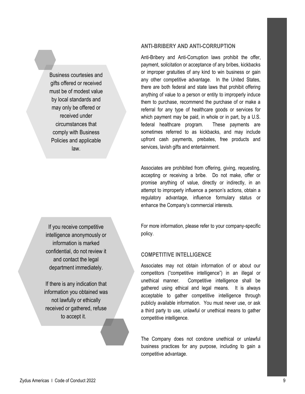Business courtesies and gifts offered or received must be of modest value by local standards and may only be offered or received under circumstances that comply with Business Policies and applicable law.

If you receive competitive intelligence anonymously or information is marked confidential, do not review it and contact the legal department immediately.

If there is any indication that information you obtained was not lawfully or ethically received or gathered, refuse to accept it.

#### **ANTI-BRIBERY AND ANTI-CORRUPTION**

Anti-Bribery and Anti-Corruption laws prohibit the offer, payment, solicitation or acceptance of any bribes, kickbacks or improper gratuities of any kind to win business or gain any other competitive advantage. In the United States, there are both federal and state laws that prohibit offering anything of value to a person or entity to improperly induce them to purchase, recommend the purchase of or make a referral for any type of healthcare goods or services for which payment may be paid, in whole or in part, by a U.S. federal healthcare program. These payments are sometimes referred to as kickbacks, and may include upfront cash payments, prebates, free products and services, lavish gifts and entertainment.

Associates are prohibited from offering, giving, requesting, accepting or receiving a bribe. Do not make, offer or promise anything of value, directly or indirectly, in an attempt to improperly influence a person's actions, obtain a regulatory advantage, influence formulary status or enhance the Company's commercial interests.

For more information, please refer to your company-specific policy.

#### **COMPETITIVE INTELLIGENCE**

Associates may not obtain information of or about our competitors ("competitive intelligence") in an illegal or unethical manner. Competitive intelligence shall be gathered using ethical and legal means. It is always acceptable to gather competitive intelligence through publicly available information. You must never use, or ask a third party to use, unlawful or unethical means to gather competitive intelligence.

The Company does not condone unethical or unlawful business practices for any purpose, including to gain a competitive advantage.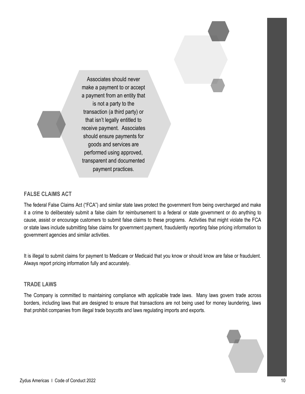

#### **FALSE CLAIMS ACT**

The federal False Claims Act ("FCA") and similar state laws protect the government from being overcharged and make it a crime to deliberately submit a false claim for reimbursement to a federal or state government or do anything to cause, assist or encourage customers to submit false claims to these programs. Activities that might violate the FCA or state laws include submitting false claims for government payment, fraudulently reporting false pricing information to government agencies and similar activities.

It is illegal to submit claims for payment to Medicare or Medicaid that you know or should know are false or fraudulent. Always report pricing information fully and accurately.

#### **TRADE LAWS**

The Company is committed to maintaining compliance with applicable trade laws. Many laws govern trade across borders, including laws that are designed to ensure that transactions are not being used for money laundering, laws that prohibit companies from illegal trade boycotts and laws regulating imports and exports.

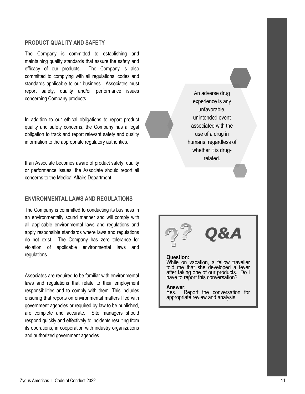#### **PRODUCT QUALITY AND SAFETY**

The Company is committed to establishing and maintaining quality standards that assure the safety and efficacy of our products. The Company is also committed to complying with all regulations, codes and standards applicable to our business. Associates must report safety, quality and/or performance issues concerning Company products.

In addition to our ethical obligations to report product quality and safety concerns, the Company has a legal obligation to track and report relevant safety and quality information to the appropriate regulatory authorities.

If an Associate becomes aware of product safety, quality or performance issues, the Associate should report all concerns to the Medical Affairs Department.

#### **ENVIRONMENTAL LAWS AND REGULATIONS**

The Company is committed to conducting its business in an environmentally sound manner and will comply with all applicable environmental laws and regulations and apply responsible standards where laws and regulations do not exist. The Company has zero tolerance for violation of applicable environmental laws and regulations.

Associates are required to be familiar with environmental laws and regulations that relate to their employment responsibilities and to comply with them. This includes ensuring that reports on environmental matters filed with government agencies or required by law to be published, are complete and accurate. Site managers should respond quickly and effectively to incidents resulting from its operations, in cooperation with industry organizations and authorized government agencies.

An adverse drug experience is any unfavorable, unintended event associated with the use of a drug in humans, regardless of whether it is drugrelated.

# *Q&A*

#### **Question:**

While on vacation, a fellow traveller told me that she developed a fever after taking one of our products. Do I have to report this conversation?

#### **Answer:**

Yes. Report the conversation for appropriate review and analysis.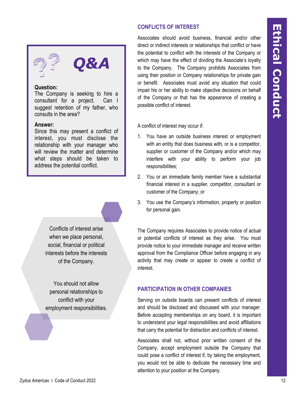

*Q&A*

#### **Question:**

The Company is seeking to hire a consultant for a project. Can I suggest retention of my father, who consults in the area?

#### **Answer:**

Since this may present a conflict of interest, you must disclose the relationship with your manager who will review the matter and determine what steps should be taken to address the potential conflict.

> Conflicts of interest arise when we place personal, social, financial or political interests before the interests of the Company.

You should not allow personal relationships to conflict with your employment responsibilities. Associates should avoid business, financial and/or other direct or indirect interests or relationships that conflict or have the potential to conflict with the interests of the Company or which may have the effect of dividing the Associate's loyalty to the Company. The Company prohibits Associates from using their position or Company relationships for private gain or benefit. Associates must avoid any situation that could impair his or her ability to make objective decisions on behalf of the Company or that has the appearance of creating a possible conflict of interest.

A conflict of interest may occur if:

- 1. You have an outside business interest or employment with an entity that does business with, or is a competitor, supplier or customer of the Company and/or which may interfere with your ability to perform your job responsibilities;
- 2. You or an immediate family member have a substantial financial interest in a supplier, competitor, consultant or customer of the Company; or
- 3. You use the Company's information, property or position for personal gain.

The Company requires Associates to provide notice of actual or potential conflicts of interest as they arise. You must provide notice to your immediate manager and receive written approval from the Compliance Officer before engaging in any activity that may create or appear to create a conflict of interest.

#### **PARTICIPATION IN OTHER COMPANIES**

Serving on outside boards can present conflicts of interest and should be disclosed and discussed with your manager. Before accepting memberships on any board, it is important to understand your legal responsibilities and avoid affiliations that carry the potential for distraction and conflicts of interest.

Associates shall not, without prior written consent of the Company, accept employment outside the Company that could pose a conflict of interest if, by taking the employment, you would not be able to dedicate the necessary time and attention to your position at the Company.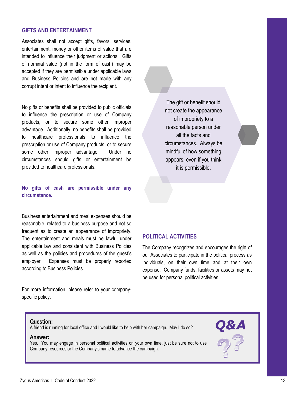#### **GIFTS AND ENTERTAINMENT**

Associates shall not accept gifts, favors, services, entertainment, money or other items of value that are intended to influence their judgment or actions. Gifts of nominal value (not in the form of cash) may be accepted if they are permissible under applicable laws and Business Policies and are not made with any corrupt intent or intent to influence the recipient.

No gifts or benefits shall be provided to public officials to influence the prescription or use of Company products, or to secure some other improper advantage. Additionally, no benefits shall be provided to healthcare professionals to influence the prescription or use of Company products, or to secure some other improper advantage. Under no circumstances should gifts or entertainment be provided to healthcare professionals.

#### **No gifts of cash are permissible under any circumstance.**

Business entertainment and meal expenses should be reasonable, related to a business purpose and not so frequent as to create an appearance of impropriety. The entertainment and meals must be lawful under applicable law and consistent with Business Policies as well as the policies and procedures of the guest's employer. Expenses must be properly reported according to Business Policies.

For more information, please refer to your companyspecific policy.

The gift or benefit should not create the appearance of impropriety to a reasonable person under all the facts and circumstances. Always be mindful of how something appears, even if you think it is permissible.

#### **POLITICAL ACTIVITIES**

The Company recognizes and encourages the right of our Associates to participate in the political process as individuals, on their own time and at their own expense. Company funds, facilities or assets may not be used for personal political activities.

#### **Question:**

A friend is running for local office and I would like to help with her campaign. May I do so?

#### **Answer:**

Yes. You may engage in personal political activities on your own time, just be sure not to use Company resources or the Company's name to advance the campaign.

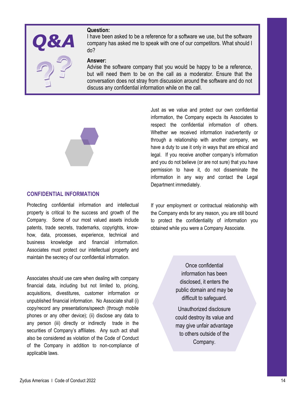#### **Question:**



I have been asked to be a reference for a software we use, but the software company has asked me to speak with one of our competitors. What should I do?

#### **Answer:**

Advise the software company that you would be happy to be a reference, but will need them to be on the call as a moderator. Ensure that the conversation does not stray from discussion around the software and do not discuss any confidential information while on the call.



#### **CONFIDENTIAL INFORMATION**

Protecting confidential information and intellectual property is critical to the success and growth of the Company. Some of our most valued assets include patents, trade secrets, trademarks, copyrights, knowhow, data, processes, experience, technical and business knowledge and financial information. Associates must protect our intellectual property and maintain the secrecy of our confidential information.

Associates should use care when dealing with company financial data, including but not limited to, pricing, acquisitions, divestitures, customer information or unpublished financial information. No Associate shall (i) copy/record any presentations/speech (through mobile phones or any other device); (ii) disclose any data to any person (iii) directly or indirectly trade in the securities of Company's affiliates. Any such act shall also be considered as violation of the Code of Conduct of the Company in addition to non-compliance of applicable laws.

Just as we value and protect our own confidential information, the Company expects its Associates to respect the confidential information of others. Whether we received information inadvertently or through a relationship with another company, we have a duty to use it only in ways that are ethical and legal. If you receive another company's information and you do not believe (or are not sure) that you have permission to have it, do not disseminate the information in any way and contact the Legal Department immediately.

If your employment or contractual relationship with the Company ends for any reason, you are still bound to protect the confidentiality of information you obtained while you were a Company Associate.

> Once confidential information has been disclosed, it enters the public domain and may be difficult to safeguard.

> Unauthorized disclosure could destroy its value and may give unfair advantage to others outside of the Company.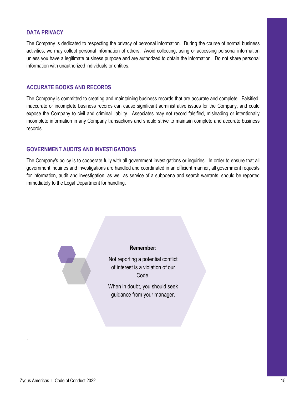#### **DATA PRIVACY**

The Company is dedicated to respecting the privacy of personal information. During the course of normal business activities, we may collect personal information of others. Avoid collecting, using or accessing personal information unless you have a legitimate business purpose and are authorized to obtain the information. Do not share personal information with unauthorized individuals or entities.

#### **ACCURATE BOOKS AND RECORDS**

The Company is committed to creating and maintaining business records that are accurate and complete. Falsified, inaccurate or incomplete business records can cause significant administrative issues for the Company, and could expose the Company to civil and criminal liability. Associates may not record falsified, misleading or intentionally incomplete information in any Company transactions and should strive to maintain complete and accurate business records.

#### **GOVERNMENT AUDITS AND INVESTIGATIONS**

The Company's policy is to cooperate fully with all government investigations or inquiries. In order to ensure that all government inquiries and investigations are handled and coordinated in an efficient manner, all government requests for information, audit and investigation, as well as service of a subpoena and search warrants, should be reported immediately to the Legal Department for handling.



.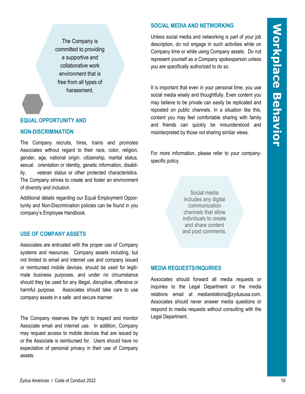The Company is committed to providing a supportive and collaborative work environment that is free from all types of harassment.

#### **EQUAL OPPORTUNITY AND**

#### **NON-DISCRIMINATION**

The Company recruits, hires, trains and promotes Associates without regard to their race, color, religion, gender, age, national origin, citizenship, marital status, sexual orientation or identity, genetic information, disability, veteran status or other protected characteristics. The Company strives to create and foster an environment of diversity and inclusion.

Additional details regarding our Equal Employment Opportunity and Non-Discrimination policies can be found in you company's Employee Handbook.

#### **USE OF COMPANY ASSETS**

Associates are entrusted with the proper use of Company systems and resources. Company assets including, but not limited to email and internet use and company issued or reimbursed mobile devices, should be used for legitimate business purposes, and under no circumstance should they be used for any illegal, disruptive, offensive or harmful purpose. Associates should take care to use company assets in a safe and secure manner.

The Company reserves the right to inspect and monitor Associate email and internet use. In addition, Company may request access to mobile devices that are issued by or the Associate is reimbursed for. Users should have no expectation of personal privacy in their use of Company assets.

#### **SOCIAL MEDIA AND NETWORKING**

Unless social media and networking is part of your job description, do not engage in such activities while on Company time or while using Company assets. Do not represent yourself as a Company spokesperson unless you are specifically authorized to do so.

It is important that even in your personal time, you use social media wisely and thoughtfully. Even content you may believe to be private can easily be replicated and reposted on public channels. In a situation like this, content you may feel comfortable sharing with family and friends can quickly be misunderstood and misinterpreted by those not sharing similar views.

For more information, please refer to your companyspecific policy.

> Social media includes any digital communication channels that allow individuals to create and share content and post comments.

#### **MEDIA REQUESTS/INQUIRIES**

Associates should forward all media requests or inquiries to the Legal Department or the media relations email at mediarelations@zydususa.com. Associates should never answer media questions or respond to media requests without consulting with the Legal Department.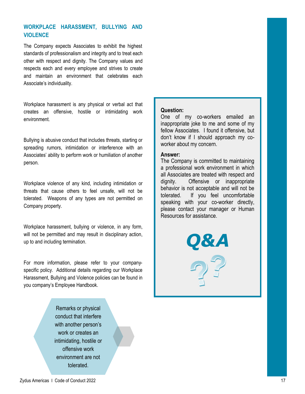### **WORKPLACE HARASSMENT, BULLYING AND VIOLENCE**

The Company expects Associates to exhibit the highest standards of professionalism and integrity and to treat each other with respect and dignity. The Company values and respects each and every employee and strives to create and maintain an environment that celebrates each Associate's individuality.

Workplace harassment is any physical or verbal act that creates an offensive, hostile or intimidating work environment.

Bullying is abusive conduct that includes threats, starting or spreading rumors, intimidation or interference with an Associates' ability to perform work or humiliation of another person.

Workplace violence of any kind, including intimidation or threats that cause others to feel unsafe, will not be tolerated. Weapons of any types are not permitted on Company property.

Workplace harassment, bullying or violence, in any form, will not be permitted and may result in disciplinary action, up to and including termination.

For more information, please refer to your companyspecific policy. Additional details regarding our Workplace Harassment, Bullying and Violence policies can be found in you company's Employee Handbook.

> Remarks or physical conduct that interfere with another person's work or creates an intimidating, hostile or offensive work environment are not tolerated.

#### **Question:**

One of my co-workers emailed an inappropriate joke to me and some of my fellow Associates. I found it offensive, but don't know if I should approach my coworker about my concern.

#### **Answer:**

The Company is committed to maintaining a professional work environment in which all Associates are treated with respect and dignity. Offensive or inappropriate behavior is not acceptable and will not be tolerated. If you feel uncomfortable speaking with your co-worker directly, please contact your manager or Human Resources for assistance.

*Q&A*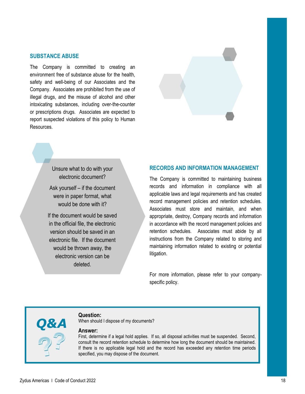#### **SUBSTANCE ABUSE**

The Company is committed to creating an environment free of substance abuse for the health, safety and well-being of our Associates and the Company. Associates are prohibited from the use of illegal drugs, and the misuse of alcohol and other intoxicating substances, including over-the-counter or prescriptions drugs. Associates are expected to report suspected violations of this policy to Human Resources.



Unsure what to do with your electronic document?

Ask yourself – if the document were in paper format, what would be done with it?

If the document would be saved in the official file, the electronic version should be saved in an electronic file. If the document would be thrown away, the electronic version can be deleted.

#### **RECORDS AND INFORMATION MANAGEMENT**

The Company is committed to maintaining business records and information in compliance with all applicable laws and legal requirements and has created record management policies and retention schedules. Associates must store and maintain, and when appropriate, destroy, Company records and information in accordance with the record management policies and retention schedules. Associates must abide by all instructions from the Company related to storing and maintaining information related to existing or potential litigation.

For more information, please refer to your companyspecific policy.

#### **Question:**

When should I dispose of my documents?

#### **Answer:**

First, determine if a legal hold applies. If so, all disposal activities must be suspended. Second, consult the record retention schedule to determine how long the document should be maintained. If there is no applicable legal hold and the record has exceeded any retention time periods specified, you may dispose of the document.

*Q&A*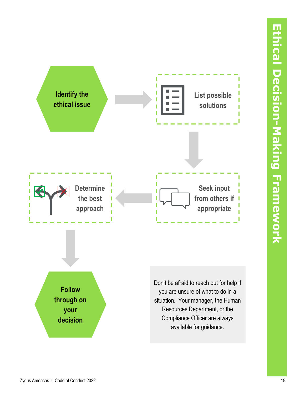